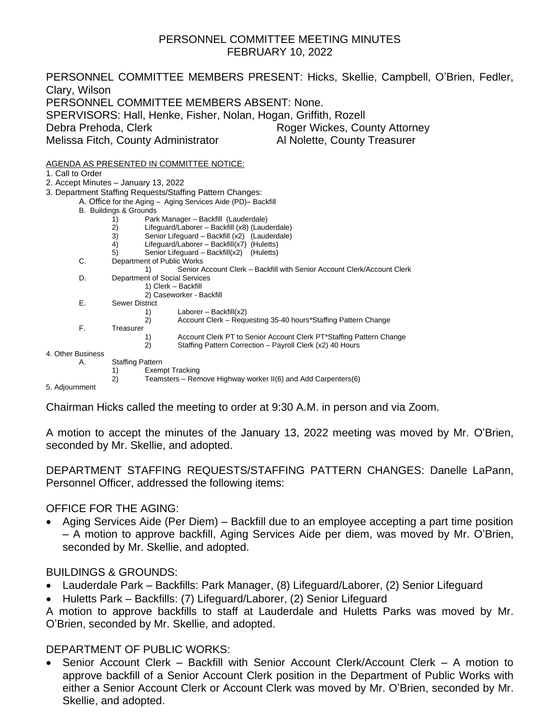#### PERSONNEL COMMITTEE MEETING MINUTES FEBRUARY 10, 2022

PERSONNEL COMMITTEE MEMBERS PRESENT: Hicks, Skellie, Campbell, O'Brien, Fedler, Clary, Wilson PERSONNEL COMMITTEE MEMBERS ABSENT: None. SPERVISORS: Hall, Henke, Fisher, Nolan, Hogan, Griffith, Rozell Debra Prehoda, Clerk **Roger Wickes, County Attorney** Melissa Fitch, County Administrator Al Nolette, County Treasurer AGENDA AS PRESENTED IN COMMITTEE NOTICE: 1. Call to Order 2. Accept Minutes – January 13, 2022 3. Department Staffing Requests/Staffing Pattern Changes: A. Office for the Aging – Aging Services Aide (PD)– Backfill B. Buildings & Grounds 1) Park Manager – Backfill (Lauderdale) 2) Lifeguard/Laborer – Backfill (x8) (Lauderdale) 3) Senior Lifeguard – Backfill (x2) (Lauderdale) 4) Lifeguard/Laborer – Backfill(x7) (Huletts) 5) Senior Lifeguard – Backfill(x2) (Huletts) C. Department of Public Works 1) Senior Account Clerk – Backfill with Senior Account Clerk/Account Clerk D. Department of Social Services 1) Clerk – Backfill 2) Caseworker - Backfill E. Sewer District 1) Laborer – Backfill(x2) 2) Account Clerk – Requesting 35-40 hours\*Staffing Pattern Change F. Treasurer 1) Account Clerk PT to Senior Account Clerk PT\*Staffing Pattern Change<br>2) Staffing Pattern Correction – Payroll Clerk (x2) 40 Hours Staffing Pattern Correction – Payroll Clerk (x2) 40 Hours 4. Other Business A. Staffing Pattern 1) Exempt Tracking<br>2) Teamsters – Ren 2) Teamsters – Remove Highway worker II(6) and Add Carpenters(6) 5. Adjournment

Chairman Hicks called the meeting to order at 9:30 A.M. in person and via Zoom.

A motion to accept the minutes of the January 13, 2022 meeting was moved by Mr. O'Brien, seconded by Mr. Skellie, and adopted.

DEPARTMENT STAFFING REQUESTS/STAFFING PATTERN CHANGES: Danelle LaPann, Personnel Officer, addressed the following items:

OFFICE FOR THE AGING:

• Aging Services Aide (Per Diem) – Backfill due to an employee accepting a part time position – A motion to approve backfill, Aging Services Aide per diem, was moved by Mr. O'Brien, seconded by Mr. Skellie, and adopted.

BUILDINGS & GROUNDS:

- Lauderdale Park Backfills: Park Manager, (8) Lifeguard/Laborer, (2) Senior Lifeguard
- Huletts Park Backfills: (7) Lifeguard/Laborer, (2) Senior Lifeguard

A motion to approve backfills to staff at Lauderdale and Huletts Parks was moved by Mr. O'Brien, seconded by Mr. Skellie, and adopted.

# DEPARTMENT OF PUBLIC WORKS:

• Senior Account Clerk – Backfill with Senior Account Clerk/Account Clerk – A motion to approve backfill of a Senior Account Clerk position in the Department of Public Works with either a Senior Account Clerk or Account Clerk was moved by Mr. O'Brien, seconded by Mr. Skellie, and adopted.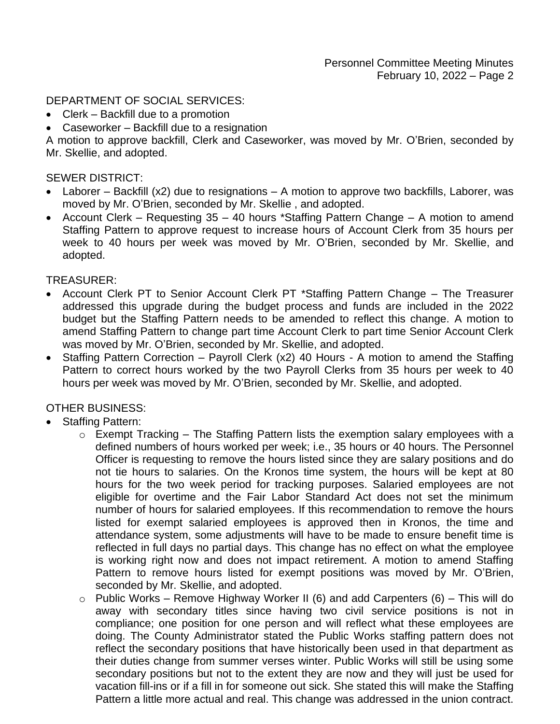## DEPARTMENT OF SOCIAL SERVICES:

- Clerk Backfill due to a promotion
- Caseworker Backfill due to a resignation

A motion to approve backfill, Clerk and Caseworker, was moved by Mr. O'Brien, seconded by Mr. Skellie, and adopted.

#### SEWER DISTRICT:

- Laborer Backfill (x2) due to resignations A motion to approve two backfills, Laborer, was moved by Mr. O'Brien, seconded by Mr. Skellie , and adopted.
- Account Clerk Requesting 35 40 hours \*Staffing Pattern Change A motion to amend Staffing Pattern to approve request to increase hours of Account Clerk from 35 hours per week to 40 hours per week was moved by Mr. O'Brien, seconded by Mr. Skellie, and adopted.

### TREASURER:

- Account Clerk PT to Senior Account Clerk PT \*Staffing Pattern Change The Treasurer addressed this upgrade during the budget process and funds are included in the 2022 budget but the Staffing Pattern needs to be amended to reflect this change. A motion to amend Staffing Pattern to change part time Account Clerk to part time Senior Account Clerk was moved by Mr. O'Brien, seconded by Mr. Skellie, and adopted.
- Staffing Pattern Correction Payroll Clerk (x2) 40 Hours A motion to amend the Staffing Pattern to correct hours worked by the two Payroll Clerks from 35 hours per week to 40 hours per week was moved by Mr. O'Brien, seconded by Mr. Skellie, and adopted.

## OTHER BUSINESS:

- Staffing Pattern:
	- $\circ$  Exempt Tracking The Staffing Pattern lists the exemption salary employees with a defined numbers of hours worked per week; i.e., 35 hours or 40 hours. The Personnel Officer is requesting to remove the hours listed since they are salary positions and do not tie hours to salaries. On the Kronos time system, the hours will be kept at 80 hours for the two week period for tracking purposes. Salaried employees are not eligible for overtime and the Fair Labor Standard Act does not set the minimum number of hours for salaried employees. If this recommendation to remove the hours listed for exempt salaried employees is approved then in Kronos, the time and attendance system, some adjustments will have to be made to ensure benefit time is reflected in full days no partial days. This change has no effect on what the employee is working right now and does not impact retirement. A motion to amend Staffing Pattern to remove hours listed for exempt positions was moved by Mr. O'Brien, seconded by Mr. Skellie, and adopted.
	- $\circ$  Public Works Remove Highway Worker II (6) and add Carpenters (6) This will do away with secondary titles since having two civil service positions is not in compliance; one position for one person and will reflect what these employees are doing. The County Administrator stated the Public Works staffing pattern does not reflect the secondary positions that have historically been used in that department as their duties change from summer verses winter. Public Works will still be using some secondary positions but not to the extent they are now and they will just be used for vacation fill-ins or if a fill in for someone out sick. She stated this will make the Staffing Pattern a little more actual and real. This change was addressed in the union contract.